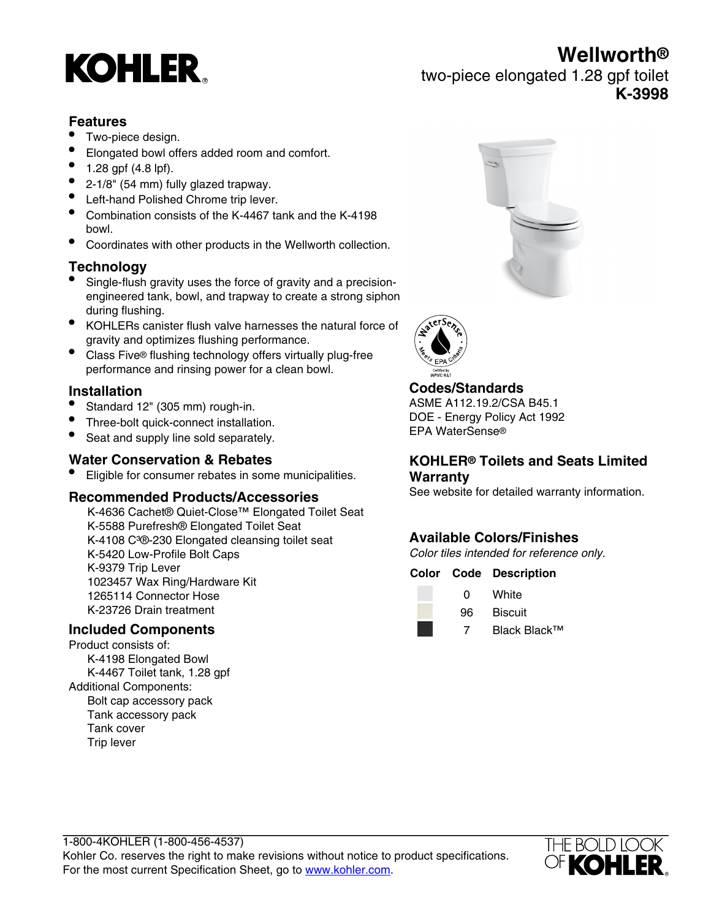# **KOHLER**

**Wellworth®** two-piece elongated 1.28 gpf toilet **K-3998**

### **Features**

- Two-piece design.
- Elongated bowl offers added room and comfort.
- 1.28 gpf (4.8 lpf).
- 2-1/8" (54 mm) fully glazed trapway.
- Left-hand Polished Chrome trip lever.
- Combination consists of the K-4467 tank and the K-4198 bowl.
- Coordinates with other products in the Wellworth collection.

### **Technology**

- Single-flush gravity uses the force of gravity and a precisionengineered tank, bowl, and trapway to create a strong siphon during flushing.
- KOHLERs canister flush valve harnesses the natural force of gravity and optimizes flushing performance.
- Class Five® flushing technology offers virtually plug-free performance and rinsing power for a clean bowl.

### **Installation**

- Standard 12" (305 mm) rough-in.
- Three-bolt quick-connect installation.
- Seat and supply line sold separately.

#### **Water Conservation & Rebates**

• Eligible for consumer rebates in some municipalities.

#### **Recommended Products/Accessories**

K-4636 Cachet® Quiet-Close™ Elongated Toilet Seat K-5588 Purefresh® Elongated Toilet Seat K-4108 C<sup>3</sup>®-230 Elongated cleansing toilet seat K-5420 Low-Profile Bolt Caps K-9379 Trip Lever 1023457 Wax Ring/Hardware Kit 1265114 Connector Hose K-23726 Drain treatment

#### **Included Components**

Product consists of: K-4198 Elongated Bowl K-4467 Toilet tank, 1.28 gpf Additional Components: Bolt cap accessory pack Tank accessory pack Tank cover Trip lever





### **Codes/Standards**

ASME A112.19.2/CSA B45.1 DOE - Energy Policy Act 1992 EPA WaterSense®

#### **KOHLER® Toilets and Seats Limited Warranty**

See website for detailed warranty information.

### **Available Colors/Finishes**

Color tiles intended for reference only.

#### **Color Code Description**



0 White 96 Biscuit

7 Black Black™